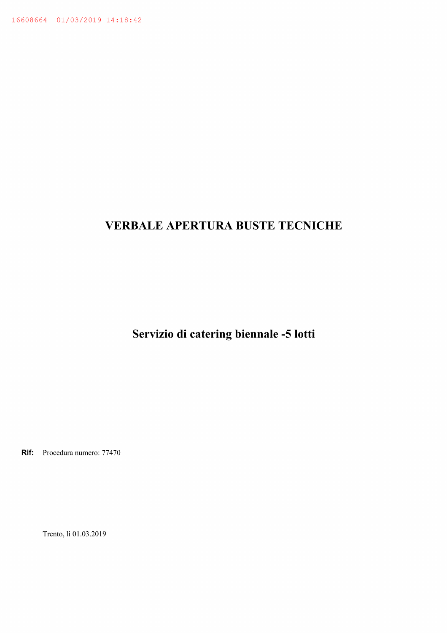# **VERBALE APERTURA BUSTE TECNICHE**

Servizio di catering biennale -5 lotti

Rif: Procedura numero: 77470

Trento, lì 01.03.2019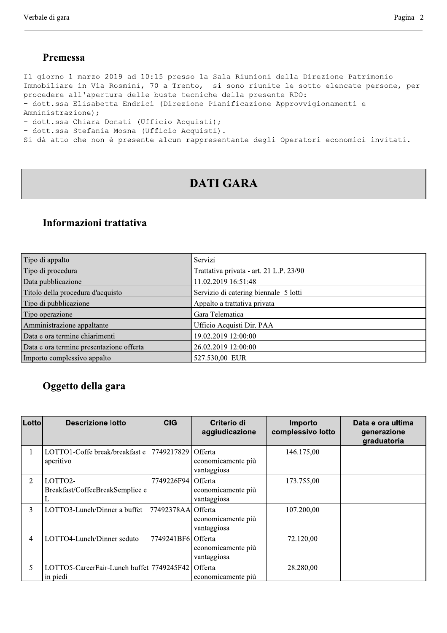#### Premessa

Il giorno 1 marzo 2019 ad 10:15 presso la Sala Riunioni della Direzione Patrimonio Immobiliare in Via Rosmini, 70 a Trento, si sono riunite le sotto elencate persone, per procedere all'apertura delle buste tecniche della presente RDO: - dott.ssa Elisabetta Endrici (Direzione Pianificazione Approvvigionamenti e Amministrazione); - dott.ssa Chiara Donati (Ufficio Acquisti); - dott.ssa Stefania Mosna (Ufficio Acquisti). Si dà atto che non è presente alcun rappresentante degli Operatori economici invitati.

# **DATI GARA**

#### Informazioni trattativa

| Tipo di appalto                          | Servizi                                 |
|------------------------------------------|-----------------------------------------|
| Tipo di procedura                        | Trattativa privata - art. 21 L.P. 23/90 |
| Data pubblicazione                       | 11.02.2019 16:51:48                     |
| Titolo della procedura d'acquisto        | Servizio di catering biennale -5 lotti  |
| Tipo di pubblicazione                    | Appalto a trattativa privata            |
| Tipo operazione                          | Gara Telematica                         |
| Amministrazione appaltante               | Ufficio Acquisti Dir. PAA               |
| Data e ora termine chiarimenti           | 19.02.2019 12:00:00                     |
| Data e ora termine presentazione offerta | 26.02.2019 12:00:00                     |
| Importo complessivo appalto              | 527.530,00 EUR                          |

## Oggetto della gara

| Lotto | <b>Descrizione lotto</b>                                         | <b>CIG</b>           | Criterio di<br>aggiudicazione     | Importo<br>complessivo lotto | Data e ora ultima<br>generazione<br>graduatoria |
|-------|------------------------------------------------------------------|----------------------|-----------------------------------|------------------------------|-------------------------------------------------|
|       | LOTTO1-Coffe break/breakfast e   7749217829 Offerta<br>aperitivo |                      | economicamente più<br>vantaggiosa | 146.175,00                   |                                                 |
| 2     | LOTTO2-<br>Breakfast/CoffeeBreakSemplice e                       | 7749226F94 Offerta   | economicamente più<br>vantaggiosa | 173.755,00                   |                                                 |
| 3     | LOTTO3-Lunch/Dinner a buffet                                     | [77492378AA] Offerta | economicamente più<br>vantaggiosa | 107.200,00                   |                                                 |
| 4     | LOTTO4-Lunch/Dinner seduto                                       | 7749241BF61Offerta   | economicamente più<br>vantaggiosa | 72.120,00                    |                                                 |
| 5     | LOTTO5-CareerFair-Lunch buffet 7749245F42 Offerta<br>in piedi    |                      | economicamente più                | 28.280,00                    |                                                 |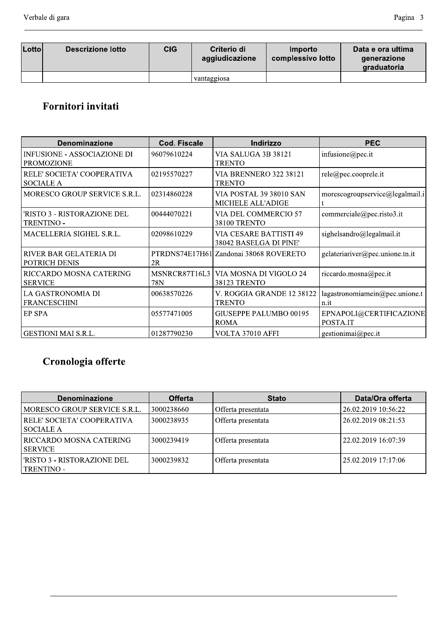| <b>Lotto</b> l | Descrizione lotto | <b>CIG</b> | Criterio di<br>aggiudicazione | Importo<br>complessivo lotto | Data e ora ultima<br>generazione<br>graduatoria |
|----------------|-------------------|------------|-------------------------------|------------------------------|-------------------------------------------------|
|                |                   |            | vantaggiosa                   |                              |                                                 |

# Fornitori invitati

| <b>Denominazione</b>                                    | Cod. Fiscale         | Indirizzo                                               | <b>PEC</b>                             |
|---------------------------------------------------------|----------------------|---------------------------------------------------------|----------------------------------------|
| <b>INFUSIONE - ASSOCIAZIONE DI</b><br><b>PROMOZIONE</b> | 96079610224          | VIA SALUGA 3B 38121<br><b>TRENTO</b>                    | infusione@pec.it                       |
| RELE' SOCIETA' COOPERATIVA<br><b>SOCIALE A</b>          | 02195570227          | <b>VIA BRENNERO 322 38121</b><br><b>TRENTO</b>          | rele@pec.cooprele.it                   |
| MORESCO GROUP SERVICE S.R.L.                            | 02314860228          | VIA POSTAL 39 38010 SAN<br><b>MICHELE ALL'ADIGE</b>     | morescogroupservice@legalmail.i        |
| 'RISTO 3 - RISTORAZIONE DEL<br><b>TRENTINO -</b>        | 00444070221          | VIA DEL COMMERCIO 57<br><b>38100 TRENTO</b>             | commerciale@pec.risto3.it              |
| MACELLERIA SIGHEL S.R.L.                                | 02098610229          | <b>VIA CESARE BATTISTI 49</b><br>38042 BASELGA DI PINE' | sighelsandro@legalmail.it              |
| RIVER BAR GELATERIA DI<br>POTRICH DENIS                 | 2R                   | PTRDNS74E17H61LZandonai 38068 ROVERETO                  | gelateriariver@pec.unione.tn.it        |
| RICCARDO MOSNA CATERING<br><b>SERVICE</b>               | MSNRCR87T16L3<br>78N | VIA MOSNA DI VIGOLO 24<br><b>38123 TRENTO</b>           | riccardo.mosna@pec.it                  |
| LA GASTRONOMIA DI<br><b>FRANCESCHINI</b>                | 00638570226          | V. ROGGIA GRANDE 12 38122<br><b>TRENTO</b>              | lagastronomiamein@pec.unione.t<br>n.it |
| <b>EP SPA</b>                                           | 05577471005          | GIUSEPPE PALUMBO 00195<br><b>ROMA</b>                   | EPNAPOLI@CERTIFICAZIONE<br>POSTA.IT    |
| <b>GESTIONI MAI S.R.L.</b>                              | 01287790230          | VOLTA 37010 AFFI                                        | gestionimai@pec.it                     |

# Cronologia offerte

| <b>Denominazione</b>                       | <b>Offerta</b> | <b>Stato</b>       | Data/Ora offerta    |
|--------------------------------------------|----------------|--------------------|---------------------|
| MORESCO GROUP SERVICE S.R.L.               | 3000238660     | Offerta presentata | 26.02.2019 10:56:22 |
| RELE' SOCIETA' COOPERATIVA<br>  SOCIALE A  | 3000238935     | Offerta presentata | 26.02.2019 08:21:53 |
| RICCARDO MOSNA CATERING <br><b>SERVICE</b> | 3000239419     | Offerta presentata | 22.02.2019 16:07:39 |
| 'RISTO 3 - RISTORAZIONE DEL<br>TRENTINO -  | 3000239832     | Offerta presentata | 25.02.2019 17:17:06 |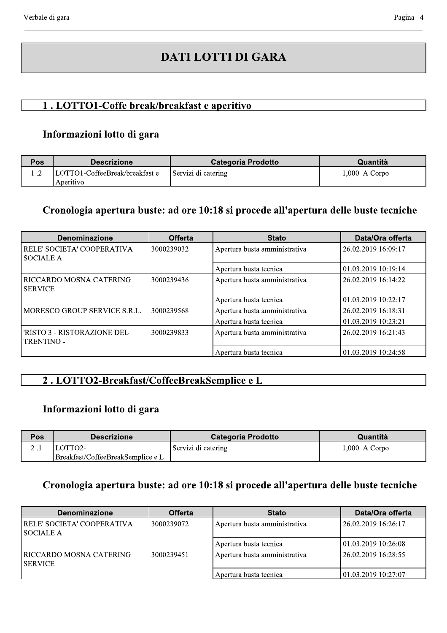# **DATI LOTTI DI GARA**

## 1. LOTTO1-Coffe break/breakfast e aperitivo

#### Informazioni lotto di gara

| Pos | <b>Descrizione</b>                          | <b>Categoria Prodotto</b> | Quantità        |
|-----|---------------------------------------------|---------------------------|-----------------|
|     | LOTTO1-CoffeeBreak/breakfast e<br>Aperitivo | Servizi di catering       | $1,000$ A Corpo |

#### Cronologia apertura buste: ad ore 10:18 si procede all'apertura delle buste tecniche

| <b>Denominazione</b>                             | <b>Offerta</b> | <b>Stato</b>                  | Data/Ora offerta    |
|--------------------------------------------------|----------------|-------------------------------|---------------------|
| RELE' SOCIETA' COOPERATIVA<br><b>SOCIALE A</b>   | 3000239032     | Apertura busta amministrativa | 26.02.2019 16:09:17 |
|                                                  |                | Apertura busta tecnica        | 01.03.2019 10:19:14 |
| RICCARDO MOSNA CATERING<br><b>SERVICE</b>        | 3000239436     | Apertura busta amministrativa | 26.02.2019 16:14:22 |
|                                                  |                | Apertura busta tecnica        | 01.03.2019 10:22:17 |
| MORESCO GROUP SERVICE S.R.L.                     | 3000239568     | Apertura busta amministrativa | 26.02.2019 16:18:31 |
|                                                  |                | Apertura busta tecnica        | 01.03.2019 10:23:21 |
| 'RISTO 3 - RISTORAZIONE DEL<br><b>TRENTINO -</b> | 3000239833     | Apertura busta amministrativa | 26.02.2019 16:21:43 |
|                                                  |                | Apertura busta tecnica        | 01.03.2019 10:24:58 |

## 2. LOTTO2-Breakfast/CoffeeBreakSemplice e L

## Informazioni lotto di gara

| <b>Pos</b> | <b>Descrizione</b>                | Categoria Prodotto  | Quantità        |
|------------|-----------------------------------|---------------------|-----------------|
|            | LOTTO2-                           | Servizi di catering | $1,000$ A Corpo |
|            | Breakfast/CoffeeBreakSemplice e L |                     |                 |

## Cronologia apertura buste: ad ore 10:18 si procede all'apertura delle buste tecniche

| <b>Denominazione</b>                     | <b>Offerta</b>                              | <b>Stato</b>                  | Data/Ora offerta     |
|------------------------------------------|---------------------------------------------|-------------------------------|----------------------|
| RELE' SOCIETA' COOPERATIVA<br>'SOCIALE A | Apertura busta amministrativa<br>3000239072 |                               | 26.02.2019 16:26:17  |
|                                          |                                             | Apertura busta tecnica        | 101.03.2019 10:26:08 |
| RICCARDO MOSNA CATERING <br>  SERVICE    | ' 3000239451                                | Apertura busta amministrativa | 26.02.2019 16:28:55  |
|                                          |                                             | Apertura busta tecnica        | 101.03.2019 10:27:07 |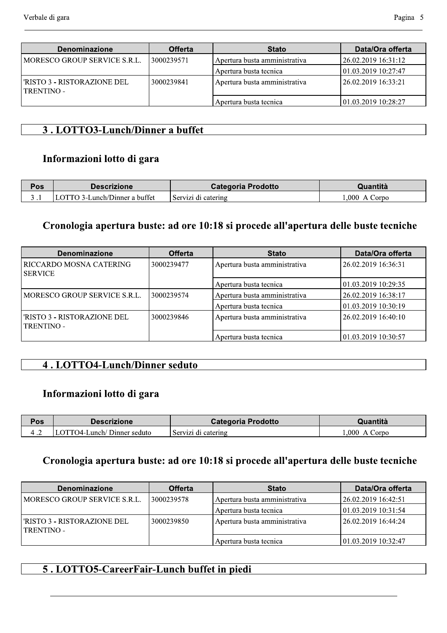| <b>Denominazione</b>                       | <b>Offerta</b> | <b>Stato</b>                  | Data/Ora offerta     |
|--------------------------------------------|----------------|-------------------------------|----------------------|
| MORESCO GROUP SERVICE S.R.L.               | ! 3000239571   | Apertura busta amministrativa | 26.02.2019 16:31:12  |
|                                            |                | Apertura busta tecnica        | 101.03.2019 10:27:47 |
| l'RISTO 3 - RISTORAZIONE DEL<br>TRENTINO - | 3000239841     | Apertura busta amministrativa | 126.02.2019 16:33:21 |
|                                            |                | Apertura busta tecnica        | 101.03.2019 10:28:27 |

### 3. LOTTO3-Lunch/Dinner a buffet

#### Informazioni lotto di gara

| $P_{OS}$ | Descrizione                  | <b>Categoria Prodotto</b> | Quantità                    |
|----------|------------------------------|---------------------------|-----------------------------|
|          | OTTO 3-Lunch/Dinner a buffet | l Servizi di catering     | .000.<br>.`orno<br>$\Delta$ |

#### Cronologia apertura buste: ad ore 10:18 si procede all'apertura delle buste tecniche

| <b>Denominazione</b>                             | <b>Offerta</b> | <b>Stato</b>                                         | Data/Ora offerta    |
|--------------------------------------------------|----------------|------------------------------------------------------|---------------------|
| RICCARDO MOSNA CATERING<br>  SERVICE             | 3000239477     | Apertura busta amministrativa<br>26.02.2019 16:36:31 |                     |
|                                                  |                | Apertura busta tecnica                               | 01.03.2019 10:29:35 |
| MORESCO GROUP SERVICE S.R.L.                     | 3000239574     | Apertura busta amministrativa                        | 26.02.2019 16:38:17 |
|                                                  |                | Apertura busta tecnica                               | 01.03.2019 10:30:19 |
| 'RISTO 3 - RISTORAZIONE DEL<br><b>TRENTINO -</b> | 3000239846     | Apertura busta amministrativa                        | 26.02.2019 16:40:10 |
|                                                  |                | Apertura busta tecnica                               | 01.03.2019 10:30:57 |

#### 4. LOTTO4-Lunch/Dinner seduto

## Informazioni lotto di gara

| Pos | <b>Descrizione</b>         | <b>Categoria Prodotto</b> | Quantità        |
|-----|----------------------------|---------------------------|-----------------|
|     | LOTTO4-Lunch/Dinner seduto | Servizi di catering       | .000<br>A Corpo |

## Cronologia apertura buste: ad ore 10:18 si procede all'apertura delle buste tecniche

| <b>Denominazione</b>                         | <b>Offerta</b> | <b>Stato</b>                                         | Data/Ora offerta     |
|----------------------------------------------|----------------|------------------------------------------------------|----------------------|
| MORESCO GROUP SERVICE S.R.L.                 | 13000239578    | 26.02.2019 16:42:51<br>Apertura busta amministrativa |                      |
|                                              |                | Apertura busta tecnica                               | 101.03.2019 10:31:54 |
| l'RISTO 3 - RISTORAZIONE DEL<br>  TRENTINO - | ' 3000239850   | Apertura busta amministrativa                        | 26.02.2019 16:44:24  |
|                                              |                | Apertura busta tecnica                               | 101.03.2019 10:32:47 |

## 5. LOTTO5-CareerFair-Lunch buffet in piedi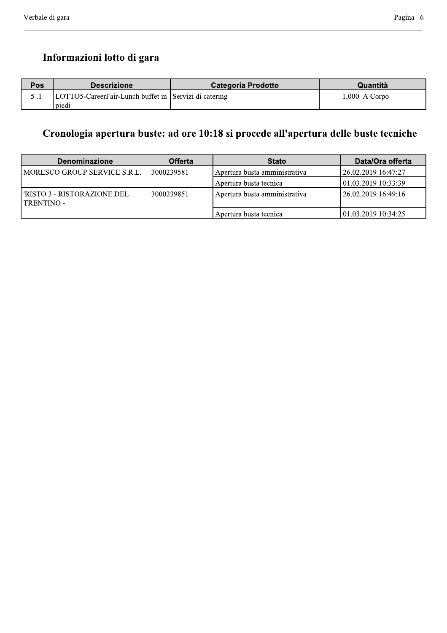# Informazioni lotto di gara

| Pos | <b>Descrizione</b>                                    | <b>Categoria Prodotto</b> | Quantità        |
|-----|-------------------------------------------------------|---------------------------|-----------------|
|     | LOTTO5-CareerFair-Lunch buffet in Servizi di catering |                           | $1,000$ A Corpo |
|     | piedi                                                 |                           |                 |

# Cronologia apertura buste: ad ore 10:18 si procede all'apertura delle buste tecniche

| <b>Denominazione</b>                         | <b>Offerta</b>                              | <b>Stato</b>                  | Data/Ora offerta     |
|----------------------------------------------|---------------------------------------------|-------------------------------|----------------------|
| MORESCO GROUP SERVICE S.R.L.                 | 3000239581<br>Apertura busta amministrativa |                               | 126.02.2019 16:47:27 |
|                                              |                                             | Apertura busta tecnica        | 101.03.2019 10:33:39 |
| l'RISTO 3 - RISTORAZIONE DEL<br>  TRENTINO - | 3000239851                                  | Apertura busta amministrativa | 126.02.2019 16:49:16 |
|                                              |                                             | Apertura busta tecnica        | 101.03.2019 10:34:25 |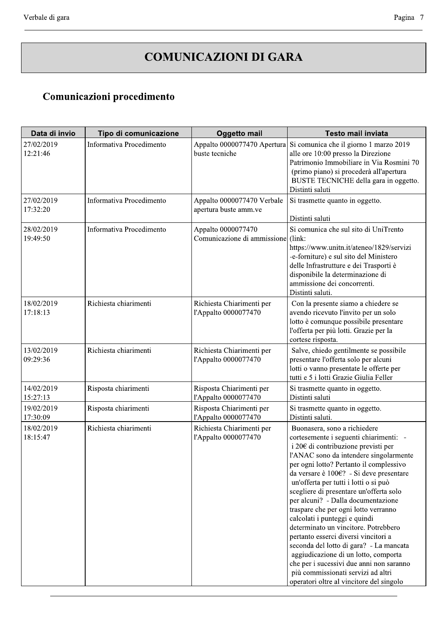# COMUNICAZIONI DI GARA

oooooooooooooooooooooooooooooooooooooooooooooooooooooooooooooooooooooooooooooooooooooooooooooooooooooooooo

| Comunicazioni procedimento |                          |                                                          |                                                                                                                                                                                                                                                                                                                                                                                                                                                                                                                                                                                                                                                                                                                                                             |  |
|----------------------------|--------------------------|----------------------------------------------------------|-------------------------------------------------------------------------------------------------------------------------------------------------------------------------------------------------------------------------------------------------------------------------------------------------------------------------------------------------------------------------------------------------------------------------------------------------------------------------------------------------------------------------------------------------------------------------------------------------------------------------------------------------------------------------------------------------------------------------------------------------------------|--|
| Data di invio              | Tipo di comunicazione    | <b>Oggetto mail</b>                                      | <b>Testo mail inviata</b>                                                                                                                                                                                                                                                                                                                                                                                                                                                                                                                                                                                                                                                                                                                                   |  |
| 27/02/2019<br>12:21:46     | Informativa Procedimento | buste tecniche                                           | Appalto 0000077470 Apertura Si comunica che il giorno 1 marzo 2019<br>alle ore 10:00 presso la Direzione<br>Patrimonio Immobiliare in Via Rosmini 70<br>(primo piano) si procederà all'apertura<br>BUSTE TECNICHE della gara in oggetto.<br>Distinti saluti                                                                                                                                                                                                                                                                                                                                                                                                                                                                                                 |  |
| 27/02/2019<br>17:32:20     | Informativa Procedimento | Appalto 0000077470 Verbale<br>apertura buste amm.ve      | Si trasmette quanto in oggetto.<br>Distinti saluti                                                                                                                                                                                                                                                                                                                                                                                                                                                                                                                                                                                                                                                                                                          |  |
| 28/02/2019<br>19:49:50     | Informativa Procedimento | Appalto 0000077470<br>Comunicazione di ammissione (link: | Si comunica che sul sito di UniTrento<br>https://www.unitn.it/ateneo/1829/servizi<br>-e-forniture) e sul sito del Ministero<br>delle Infrastrutture e dei Trasporti è<br>disponibile la determinazione di<br>ammissione dei concorrenti.<br>Distinti saluti.                                                                                                                                                                                                                                                                                                                                                                                                                                                                                                |  |
| 18/02/2019<br>17:18:13     | Richiesta chiarimenti    | Richiesta Chiarimenti per<br>l'Appalto 0000077470        | Con la presente siamo a chiedere se<br>avendo ricevuto l'invito per un solo<br>lotto è comunque possibile presentare<br>l'offerta per più lotti. Grazie per la<br>cortese risposta.                                                                                                                                                                                                                                                                                                                                                                                                                                                                                                                                                                         |  |
| 13/02/2019<br>09:29:36     | Richiesta chiarimenti    | Richiesta Chiarimenti per<br>l'Appalto 0000077470        | Salve, chiedo gentilmente se possibile<br>presentare l'offerta solo per alcuni<br>lotti o vanno presentate le offerte per<br>tutti e 5 i lotti Grazie Giulia Feller                                                                                                                                                                                                                                                                                                                                                                                                                                                                                                                                                                                         |  |
| 14/02/2019<br>15:27:13     | Risposta chiarimenti     | Risposta Chiarimenti per<br>l'Appalto 0000077470         | Si trasmette quanto in oggetto.<br>Distinti saluti                                                                                                                                                                                                                                                                                                                                                                                                                                                                                                                                                                                                                                                                                                          |  |
| 19/02/2019<br>17:30:09     | Risposta chiarimenti     | Risposta Chiarimenti per<br>l'Appalto 0000077470         | Si trasmette quanto in oggetto.<br>Distinti saluti.                                                                                                                                                                                                                                                                                                                                                                                                                                                                                                                                                                                                                                                                                                         |  |
| 18/02/2019<br>18:15:47     | Richiesta chiarimenti    | Richiesta Chiarimenti per<br>l'Appalto 0000077470        | Buonasera, sono a richiedere<br>cortesemente i seguenti chiarimenti: -<br>i 20 $\epsilon$ di contribuzione previsti per<br>l'ANAC sono da intendere singolarmente<br>per ogni lotto? Pertanto il complessivo<br>da versare è 100€? - Si deve presentare<br>un'offerta per tutti i lotti o si può<br>scegliere di presentare un'offerta solo<br>per alcuni? - Dalla documentazione<br>traspare che per ogni lotto verranno<br>calcolati i punteggi e quindi<br>determinato un vincitore. Potrebbero<br>pertanto esserci diversi vincitori a<br>seconda del lotto di gara? - La mancata<br>aggiudicazione di un lotto, comporta<br>che per i sucessivi due anni non saranno<br>più commissionati servizi ad altri<br>operatori oltre al vincitore del singolo |  |

oooooooooooooooooooooooooooooooooooooooooooooooooooooooooooooooooooooooooooooooooooooooooooooooooooooooooooooooooooooooooooooooooooooooooooooooooooooooooo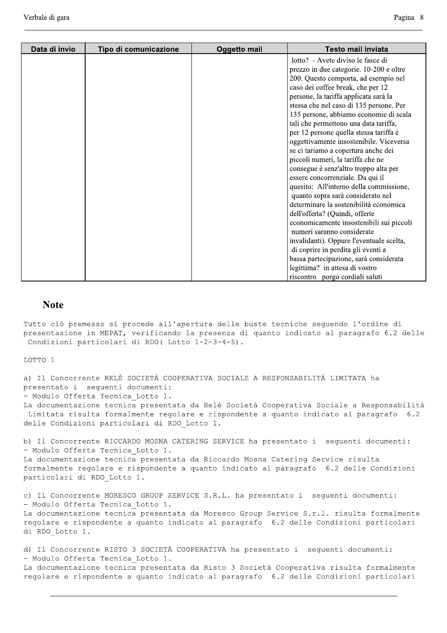| Data di invio | Tipo di comunicazione | <b>Oggetto mail</b> | <b>Testo mail inviata</b>                                                                                                                                                                                                                                                                                                                                                                                                                                                                                                                                                                                                                                                                                                                                                                                                                                                                                                                                                          |
|---------------|-----------------------|---------------------|------------------------------------------------------------------------------------------------------------------------------------------------------------------------------------------------------------------------------------------------------------------------------------------------------------------------------------------------------------------------------------------------------------------------------------------------------------------------------------------------------------------------------------------------------------------------------------------------------------------------------------------------------------------------------------------------------------------------------------------------------------------------------------------------------------------------------------------------------------------------------------------------------------------------------------------------------------------------------------|
|               |                       |                     | lotto? - Avete diviso le fasce di<br>prezzo in due categorie. 10-200 e oltre<br>200. Questo comporta, ad esempio nel<br>caso dei coffee break, che per 12<br>persone, la tariffa applicata sarà la<br>stessa che nel caso di 135 persone. Per<br>135 persone, abbiamo economie di scala<br>tali che permettono una data tariffa,<br>per 12 persone quella stessa tariffa è<br>oggettivamente insostenibile. Viceversa<br>se ci tariamo a copertura anche dei<br>piccoli numeri, la tariffa che ne<br>consegue è senz'altro troppo alta per<br>essere concorrenziale. Da qui il<br>quesito: All'interno della commissione,<br>quanto sopra sarà considerato nel<br>determinare la sostenibilità economica<br>dell'offerta? (Quindi, offerte<br>economicamente insostenibili sui piccoli<br>numeri saranno considerate<br>invalidanti). Oppure l'eventuale scelta,<br>di coprire in perdita gli eventi a<br>bassa partecipazione, sarà considerata<br>legittima? in attesa di vostro |
|               |                       |                     | riscontro porgo cordiali saluti                                                                                                                                                                                                                                                                                                                                                                                                                                                                                                                                                                                                                                                                                                                                                                                                                                                                                                                                                    |

#### **Note**

Tutto ciò premesso si procede all'apertura delle buste tecniche seguendo l'ordine di presentazione in MEPAT, verificando la presenza di quanto indicato al paragrafo 6.2 delle Condizioni particolari di RDO(Lotto 1-2-3-4-5).

LOTTO 1

a) Il Concorrente RELÈ SOCIETÁ COOPERATIVA SOCIALE A RESPONSABILITÁ LIMITATA ha presentato i sequenti documenti: - Modulo Offerta Tecnica Lotto 1.

La documentazione tecnica presentata da Relè Società Cooperativa Sociale a Responsabilità Limitata risulta formalmente regolare e rispondente a quanto indicato al paragrafo 6.2 delle Condizioni particolari di RDO Lotto 1.

b) Il Concorrente RICCARDO MOSNA CATERING SERVICE ha presentato i sequenti documenti: - Modulo Offerta Tecnica Lotto 1.

La documentazione tecnica presentata da Riccardo Mosna Catering Service risulta formalmente regolare e rispondente a quanto indicato al paragrafo 6.2 delle Condizioni particolari di RDO Lotto 1.

c) Il Concorrente MORESCO GROUP SERVICE S.R.L. ha presentato i sequenti documenti: - Modulo Offerta Tecnica Lotto 1. La documentazione tecnica presentata da Moresco Group Service S.r.l. risulta formalmente

regolare e rispondente a quanto indicato al paragrafo 6.2 delle Condizioni particolari di RDO Lotto 1.

d) Il Concorrente RISTO 3 SOCIETÁ COOPERATIVA ha presentato i sequenti documenti: - Modulo Offerta Tecnica Lotto 1. La documentazione tecnica presentata da Risto 3 Società Cooperativa risulta formalmente

regolare e rispondente a quanto indicato al paragrafo 6.2 delle Condizioni particolari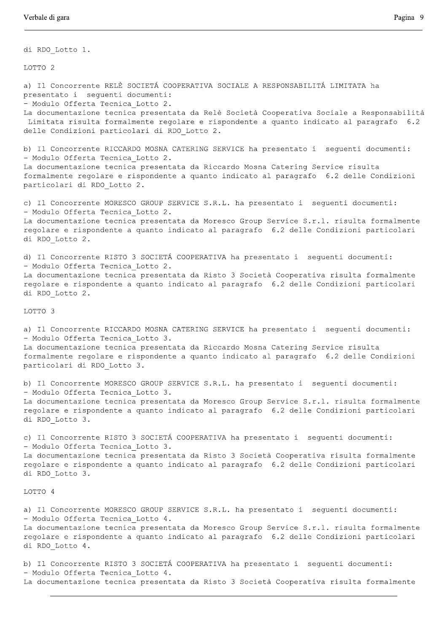di RDO Lotto 1.

LOTTO<sub>2</sub>

a) Il Concorrente RELÈ SOCIETÁ COOPERATIVA SOCIALE A RESPONSABILITÁ LIMITATA ha presentato i seguenti documenti: - Modulo Offerta Tecnica Lotto 2. La documentazione tecnica presentata da Relè Società Cooperativa Sociale a Responsabilità Limitata risulta formalmente regolare e rispondente a quanto indicato al paragrafo 6.2 delle Condizioni particolari di RDO Lotto 2. b) Il Concorrente RICCARDO MOSNA CATERING SERVICE ha presentato i sequenti documenti: - Modulo Offerta Tecnica Lotto 2. La documentazione tecnica presentata da Riccardo Mosna Catering Service risulta formalmente regolare e rispondente a quanto indicato al paragrafo 6.2 delle Condizioni particolari di RDO Lotto 2. c) Il Concorrente MORESCO GROUP SERVICE S.R.L. ha presentato i sequenti documenti: - Modulo Offerta Tecnica Lotto 2. La documentazione tecnica presentata da Moresco Group Service S.r.l. risulta formalmente regolare e rispondente a quanto indicato al paragrafo 6.2 delle Condizioni particolari di RDO Lotto 2. d) Il Concorrente RISTO 3 SOCIETÁ COOPERATIVA ha presentato i sequenti documenti: - Modulo Offerta Tecnica Lotto 2. La documentazione tecnica presentata da Risto 3 Società Cooperativa risulta formalmente regolare e rispondente a quanto indicato al paragrafo 6.2 delle Condizioni particolari di RDO Lotto 2. LOTTO 3 a) Il Concorrente RICCARDO MOSNA CATERING SERVICE ha presentato i sequenti documenti: - Modulo Offerta Tecnica Lotto 3. La documentazione tecnica presentata da Riccardo Mosna Catering Service risulta formalmente regolare e rispondente a quanto indicato al paragrafo 6.2 delle Condizioni particolari di RDO Lotto 3. b) Il Concorrente MORESCO GROUP SERVICE S.R.L. ha presentato i sequenti documenti: - Modulo Offerta Tecnica Lotto 3. La documentazione tecnica presentata da Moresco Group Service S.r.l. risulta formalmente regolare e rispondente a quanto indicato al paragrafo 6.2 delle Condizioni particolari di RDO Lotto 3. c) Il Concorrente RISTO 3 SOCIETÁ COOPERATIVA ha presentato i seguenti documenti: - Modulo Offerta Tecnica Lotto 3. La documentazione tecnica presentata da Risto 3 Società Cooperativa risulta formalmente regolare e rispondente a quanto indicato al paragrafo 6.2 delle Condizioni particolari di RDO Lotto 3. LOTTO 4 a) Il Concorrente MORESCO GROUP SERVICE S.R.L. ha presentato i sequenti documenti: - Modulo Offerta Tecnica Lotto 4. La documentazione tecnica presentata da Moresco Group Service S.r.l. risulta formalmente regolare e rispondente a quanto indicato al paragrafo 6.2 delle Condizioni particolari di RDO Lotto 4. b) Il Concorrente RISTO 3 SOCIETÁ COOPERATIVA ha presentato i sequenti documenti: - Modulo Offerta Tecnica Lotto 4.

La documentazione tecnica presentata da Risto 3 Società Cooperativa risulta formalmente